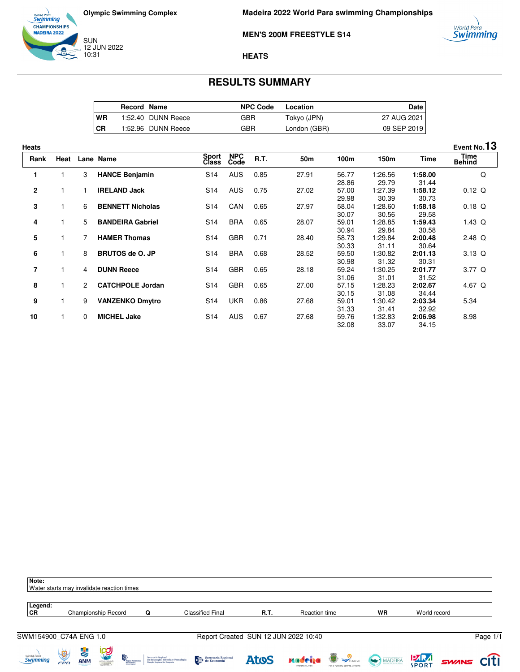



**Madeira 2022 World Para swimming Championships**

**MEN'S 200M FREESTYLE S14**



## **HEATS**

## **RESULTS SUMMARY**

|      | Record Name |                    | <b>NPC Code</b> | Location     | Date        |
|------|-------------|--------------------|-----------------|--------------|-------------|
| WR   |             | 1:52.40 DUNN Reece | GBR             | Tokyo (JPN)  | 27 AUG 2021 |
| I CR |             | 1:52.96 DUNN Reece | GBR             | London (GBR) | 09 SEP 2019 |

| <b>Heats</b>   |      |                      |                         |                 |                    |             |       |                         |                           |                           | Event No.13           |
|----------------|------|----------------------|-------------------------|-----------------|--------------------|-------------|-------|-------------------------|---------------------------|---------------------------|-----------------------|
| Rank           | Heat |                      | Lane Name               | Sport<br>Class  | <b>NPC</b><br>Code | <b>R.T.</b> | 50m   | 100m                    | 150m                      | Time                      | Time<br><b>Behind</b> |
|                |      | 3                    | <b>HANCE Benjamin</b>   | S <sub>14</sub> | <b>AUS</b>         | 0.85        | 27.91 | 56.77                   | 1:26.56                   | 1:58.00                   | Q                     |
| 2              |      |                      | <b>IRELAND Jack</b>     | S14             | <b>AUS</b>         | 0.75        | 27.02 | 28.86<br>57.00<br>29.98 | 29.79<br>1:27.39<br>30.39 | 31.44<br>1:58.12<br>30.73 | $0.12$ Q              |
| 3              |      | 6                    | <b>BENNETT Nicholas</b> | S <sub>14</sub> | CAN                | 0.65        | 27.97 | 58.04<br>30.07          | 1:28.60<br>30.56          | 1:58.18<br>29.58          | $0.18$ Q              |
| 4              |      | 5                    | <b>BANDEIRA Gabriel</b> | S <sub>14</sub> | <b>BRA</b>         | 0.65        | 28.07 | 59.01<br>30.94          | 1:28.85<br>29.84          | 1:59.43<br>30.58          | $1.43$ Q              |
| 5              |      |                      | <b>HAMER Thomas</b>     | S <sub>14</sub> | <b>GBR</b>         | 0.71        | 28.40 | 58.73<br>30.33          | 1:29.84<br>31.11          | 2:00.48<br>30.64          | $2.48$ Q              |
| 6              |      | 8                    | <b>BRUTOS de O. JP</b>  | S <sub>14</sub> | <b>BRA</b>         | 0.68        | 28.52 | 59.50<br>30.98          | 1:30.82<br>31.32          | 2:01.13<br>30.31          | 3.13 Q                |
| $\overline{7}$ |      | 4                    | <b>DUNN Reece</b>       | S14             | <b>GBR</b>         | 0.65        | 28.18 | 59.24<br>31.06          | 1:30.25<br>31.01          | 2:01.77<br>31.52          | $3.77$ Q              |
| 8              |      | $\mathbf{2}^{\circ}$ | <b>CATCHPOLE Jordan</b> | S <sub>14</sub> | <b>GBR</b>         | 0.65        | 27.00 | 57.15<br>30.15          | 1:28.23<br>31.08          | 2:02.67<br>34.44          | 4.67 Q                |
| 9              |      | 9                    | <b>VANZENKO Dmytro</b>  | S <sub>14</sub> | <b>UKR</b>         | 0.86        | 27.68 | 59.01<br>31.33          | 1:30.42<br>31.41          | 2:03.34<br>32.92          | 5.34                  |
| 10             |      | $\Omega$             | <b>MICHEL Jake</b>      | S <sub>14</sub> | <b>AUS</b>         | 0.67        | 27.68 | 59.76<br>32.08          | 1:32.83<br>33.07          | 2:06.98<br>34.15          | 8.98                  |

| Note:<br>Water starts may invalidate reaction times |          |                  |                             |                 |                                                                                          |                                                                                                                                                                                                                                                                                                                                                                                                                                                                |                                      |                                                  |                               |         |              |                   |
|-----------------------------------------------------|----------|------------------|-----------------------------|-----------------|------------------------------------------------------------------------------------------|----------------------------------------------------------------------------------------------------------------------------------------------------------------------------------------------------------------------------------------------------------------------------------------------------------------------------------------------------------------------------------------------------------------------------------------------------------------|--------------------------------------|--------------------------------------------------|-------------------------------|---------|--------------|-------------------|
| Legend:<br>CR                                       |          |                  | Championship Record         |                 | Q                                                                                        | <b>Classified Final</b>                                                                                                                                                                                                                                                                                                                                                                                                                                        | R.T.                                 | Reaction time                                    |                               | WR      | World record |                   |
| SWM154900 C74A ENG 1.0                              |          |                  |                             |                 |                                                                                          |                                                                                                                                                                                                                                                                                                                                                                                                                                                                | Report Created SUN 12 JUN 2022 10:40 |                                                  |                               |         |              | Page 1/1          |
| <i>World Para</i><br><b>Swimming</b>                | Ü<br>FPD | よう<br><b>ANM</b> | <b>IPO</b><br>STEED FORTAGE | D<br>da Madeira | Secretaria Regional<br>de Educação, Ciência e Tecnologia<br>Direção Regional de Desporto | $\begin{tabular}{ c c } \hline \end{tabular} \begin{tabular}{ c c } \hline Speculation & \end{tabular} \begin{tabular}{ c c c } \hline \end{tabular} \begin{tabular}{ c c c } \hline \end{tabular} \begin{tabular}{ c c c } \hline \end{tabular} \begin{tabular}{ c c c c } \hline \end{tabular} \begin{tabular}{ c c c c } \hline \end{tabular} \begin{tabular}{ c c c c } \hline \end{tabular} \begin{tabular}{ c c c c c } \hline \end{tabular} \begin{tab$ | <b>Atos</b>                          | <b>Madeiga Service</b><br><b>MADEIRA ISLANDS</b> | FOR O FUNCHAL SEMPRE À FRENTE | MADEIRA | <b>PARA</b>  | <b>SWINS CITI</b> |